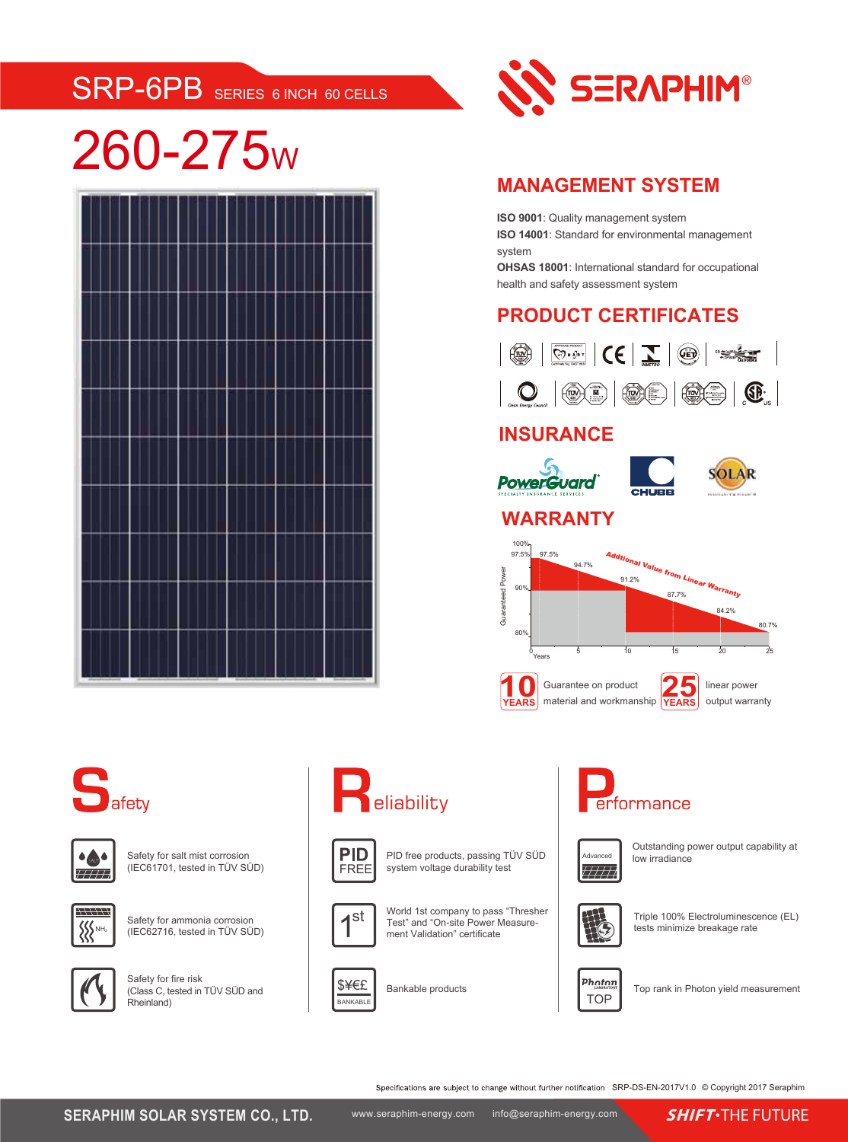# SRP-6PB SERIES 6 INCH 60 CELLS

# 260-275<sup>W</sup>





### **MANAGEMENT SYSTEM**

**ISO 9001**: Quality management system

**ISO 14001**: Standard for environmental management system

**OHSAS 18001**: International standard for occupational health and safety assessment system

### **PRODUCT CERTIFICATES**



## **INSURANCE**



### **WARRANTY**

**PowerGuard** 







Safety for salt mist corrosion (IEC61701, tested in TÜV SÜD)



Safety for ammonia corrosion (IEC62716, tested in TÜV SÜD)



Safety for fire risk (Class C, tested in TÜV SÜD and Rheinland)

# **Peliability**



PID free products, passing TÜV SÜD system voltage durability test







Bankable products





Outstanding power output capability at low irradiance



Triple 100% Electroluminescence (EL) tests minimize breakage rate



Top rank in Photon yield measurement

Specifications are subject to change without further notification SRP-DS-EN-2017V1.0 © Copyright 2017 Seraphim